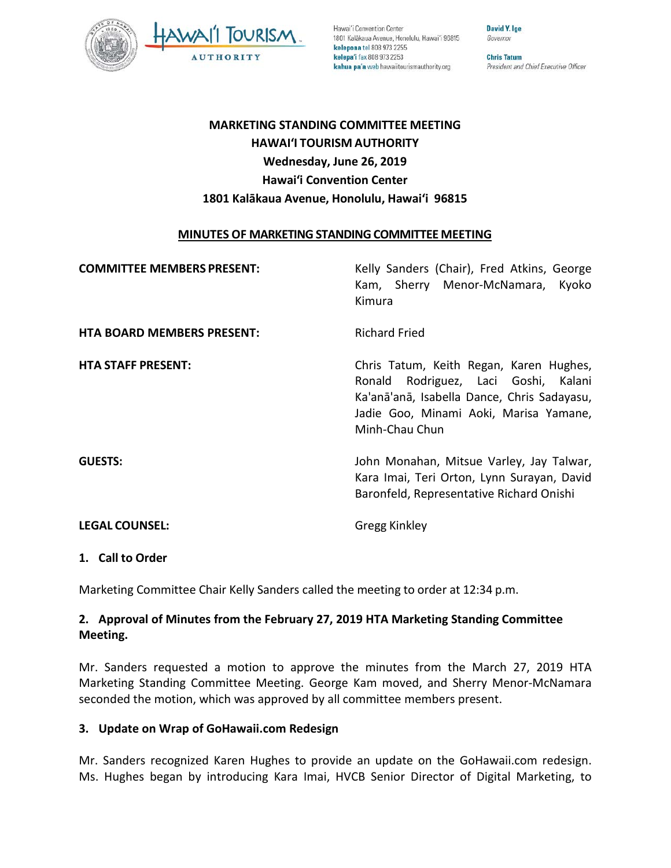

Hawai'i Convention Center 1801 Kalākaua Avenue, Honolulu, Hawai'i 96815 kelepona tel 808 973 2255 kelepa'i fax 808 973 2253 kahua pa'a web hawaiitourismauthority.org

David Y. Ige Governor

**Chris Tatum** President and Chief Executive Officer

# **MARKETING STANDING COMMITTEE MEETING HAWAI'I TOURISM AUTHORITY Wednesday, June 26, 2019 Hawai'i Convention Center 1801 Kalākaua Avenue, Honolulu, Hawai'i 96815**

### **MINUTES OF MARKETING STANDING COMMITTEE MEETING**

| <b>COMMITTEE MEMBERS PRESENT:</b> | Kelly Sanders (Chair), Fred Atkins, George<br>Kam, Sherry Menor-McNamara,<br>Kyoko<br>Kimura                                                                                               |
|-----------------------------------|--------------------------------------------------------------------------------------------------------------------------------------------------------------------------------------------|
| <b>HTA BOARD MEMBERS PRESENT:</b> | <b>Richard Fried</b>                                                                                                                                                                       |
| <b>HTA STAFF PRESENT:</b>         | Chris Tatum, Keith Regan, Karen Hughes,<br>Ronald Rodriguez, Laci Goshi, Kalani<br>Ka'anā'anā, Isabella Dance, Chris Sadayasu,<br>Jadie Goo, Minami Aoki, Marisa Yamane,<br>Minh-Chau Chun |
| <b>GUESTS:</b>                    | John Monahan, Mitsue Varley, Jay Talwar,<br>Kara Imai, Teri Orton, Lynn Surayan, David<br>Baronfeld, Representative Richard Onishi                                                         |
| <b>LEGAL COUNSEL:</b>             | Gregg Kinkley                                                                                                                                                                              |

### **1. Call to Order**

Marketing Committee Chair Kelly Sanders called the meeting to order at 12:34 p.m.

### **2. Approval of Minutes from the February 27, 2019 HTA Marketing Standing Committee Meeting.**

Mr. Sanders requested a motion to approve the minutes from the March 27, 2019 HTA Marketing Standing Committee Meeting. George Kam moved, and Sherry Menor-McNamara seconded the motion, which was approved by all committee members present.

### **3. Update on Wrap of GoHawaii.com Redesign**

Mr. Sanders recognized Karen Hughes to provide an update on the GoHawaii.com redesign. Ms. Hughes began by introducing Kara Imai, HVCB Senior Director of Digital Marketing, to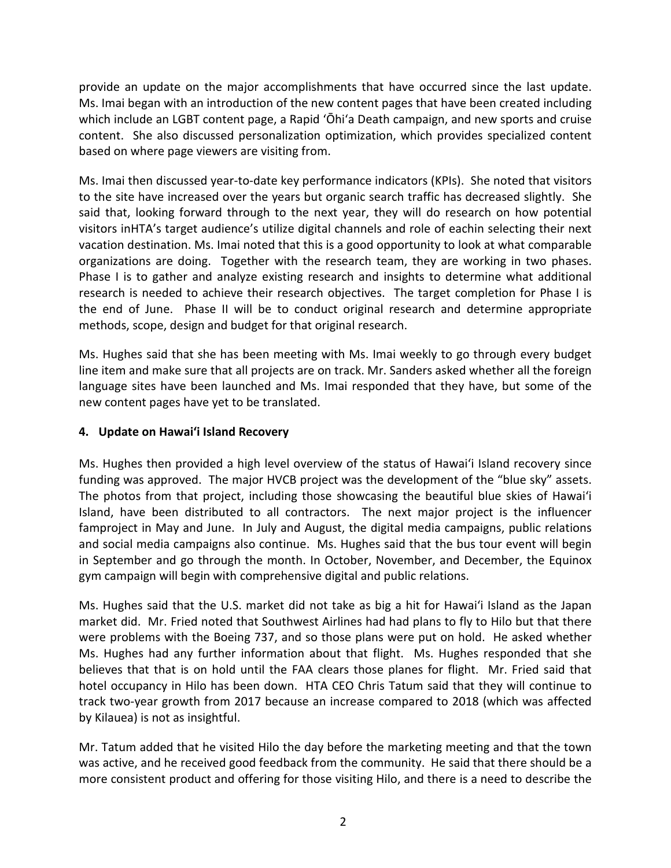provide an update on the major accomplishments that have occurred since the last update. Ms. Imai began with an introduction of the new content pages that have been created including which include an LGBT content page, a Rapid ʻŌhiʻa Death campaign, and new sports and cruise content. She also discussed personalization optimization, which provides specialized content based on where page viewers are visiting from.

Ms. Imai then discussed year-to-date key performance indicators (KPIs). She noted that visitors to the site have increased over the years but organic search traffic has decreased slightly. She said that, looking forward through to the next year, they will do research on how potential visitors inHTA's target audience's utilize digital channels and role of eachin selecting their next vacation destination. Ms. Imai noted that this is a good opportunity to look at what comparable organizations are doing. Together with the research team, they are working in two phases. Phase I is to gather and analyze existing research and insights to determine what additional research is needed to achieve their research objectives. The target completion for Phase I is the end of June. Phase II will be to conduct original research and determine appropriate methods, scope, design and budget for that original research.

Ms. Hughes said that she has been meeting with Ms. Imai weekly to go through every budget line item and make sure that all projects are on track. Mr. Sanders asked whether all the foreign language sites have been launched and Ms. Imai responded that they have, but some of the new content pages have yet to be translated.

## **4. Update on Hawai'i Island Recovery**

Ms. Hughes then provided a high level overview of the status of Hawai'i Island recovery since funding was approved. The major HVCB project was the development of the "blue sky" assets. The photos from that project, including those showcasing the beautiful blue skies of Hawai'i Island, have been distributed to all contractors. The next major project is the influencer famproject in May and June. In July and August, the digital media campaigns, public relations and social media campaigns also continue. Ms. Hughes said that the bus tour event will begin in September and go through the month. In October, November, and December, the Equinox gym campaign will begin with comprehensive digital and public relations.

Ms. Hughes said that the U.S. market did not take as big a hit for Hawai'i Island as the Japan market did. Mr. Fried noted that Southwest Airlines had had plans to fly to Hilo but that there were problems with the Boeing 737, and so those plans were put on hold. He asked whether Ms. Hughes had any further information about that flight. Ms. Hughes responded that she believes that that is on hold until the FAA clears those planes for flight. Mr. Fried said that hotel occupancy in Hilo has been down. HTA CEO Chris Tatum said that they will continue to track two-year growth from 2017 because an increase compared to 2018 (which was affected by Kilauea) is not as insightful.

Mr. Tatum added that he visited Hilo the day before the marketing meeting and that the town was active, and he received good feedback from the community. He said that there should be a more consistent product and offering for those visiting Hilo, and there is a need to describe the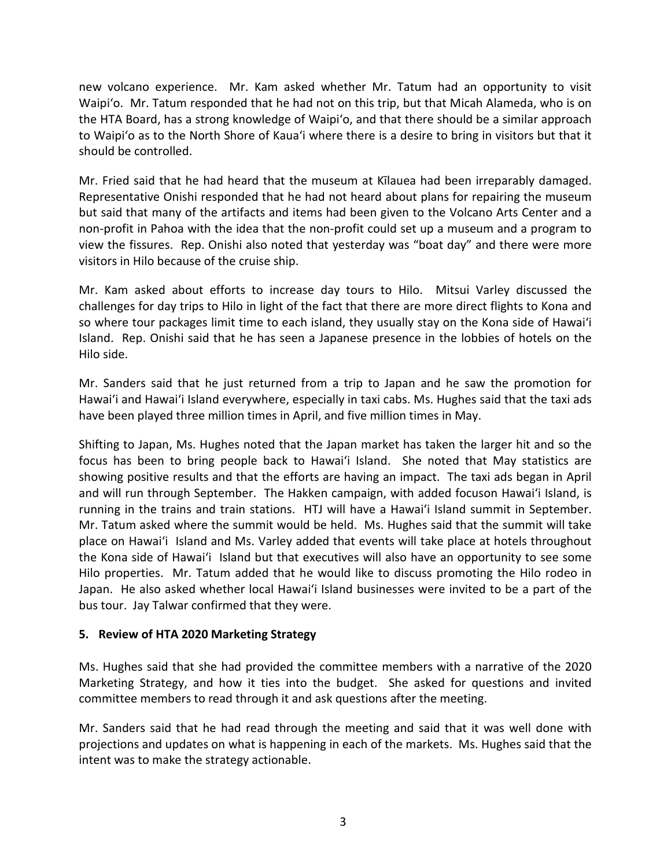new volcano experience. Mr. Kam asked whether Mr. Tatum had an opportunity to visit Waipi'o. Mr. Tatum responded that he had not on this trip, but that Micah Alameda, who is on the HTA Board, has a strong knowledge of Waipi'o, and that there should be a similar approach to Waipi'o as to the North Shore of Kaua'i where there is a desire to bring in visitors but that it should be controlled.

Mr. Fried said that he had heard that the museum at Kīlauea had been irreparably damaged. Representative Onishi responded that he had not heard about plans for repairing the museum but said that many of the artifacts and items had been given to the Volcano Arts Center and a non-profit in Pahoa with the idea that the non-profit could set up a museum and a program to view the fissures. Rep. Onishi also noted that yesterday was "boat day" and there were more visitors in Hilo because of the cruise ship.

Mr. Kam asked about efforts to increase day tours to Hilo. Mitsui Varley discussed the challenges for day trips to Hilo in light of the fact that there are more direct flights to Kona and so where tour packages limit time to each island, they usually stay on the Kona side of Hawai'i Island. Rep. Onishi said that he has seen a Japanese presence in the lobbies of hotels on the Hilo side.

Mr. Sanders said that he just returned from a trip to Japan and he saw the promotion for Hawai'i and Hawai'i Island everywhere, especially in taxi cabs. Ms. Hughes said that the taxi ads have been played three million times in April, and five million times in May.

Shifting to Japan, Ms. Hughes noted that the Japan market has taken the larger hit and so the focus has been to bring people back to Hawai'i Island. She noted that May statistics are showing positive results and that the efforts are having an impact. The taxi ads began in April and will run through September. The Hakken campaign, with added focuson Hawai'i Island, is running in the trains and train stations. HTJ will have a Hawai'i Island summit in September. Mr. Tatum asked where the summit would be held. Ms. Hughes said that the summit will take place on Hawai'i Island and Ms. Varley added that events will take place at hotels throughout the Kona side of Hawai'i Island but that executives will also have an opportunity to see some Hilo properties. Mr. Tatum added that he would like to discuss promoting the Hilo rodeo in Japan. He also asked whether local Hawai'i Island businesses were invited to be a part of the bus tour. Jay Talwar confirmed that they were.

### **5. Review of HTA 2020 Marketing Strategy**

Ms. Hughes said that she had provided the committee members with a narrative of the 2020 Marketing Strategy, and how it ties into the budget. She asked for questions and invited committee members to read through it and ask questions after the meeting.

Mr. Sanders said that he had read through the meeting and said that it was well done with projections and updates on what is happening in each of the markets. Ms. Hughes said that the intent was to make the strategy actionable.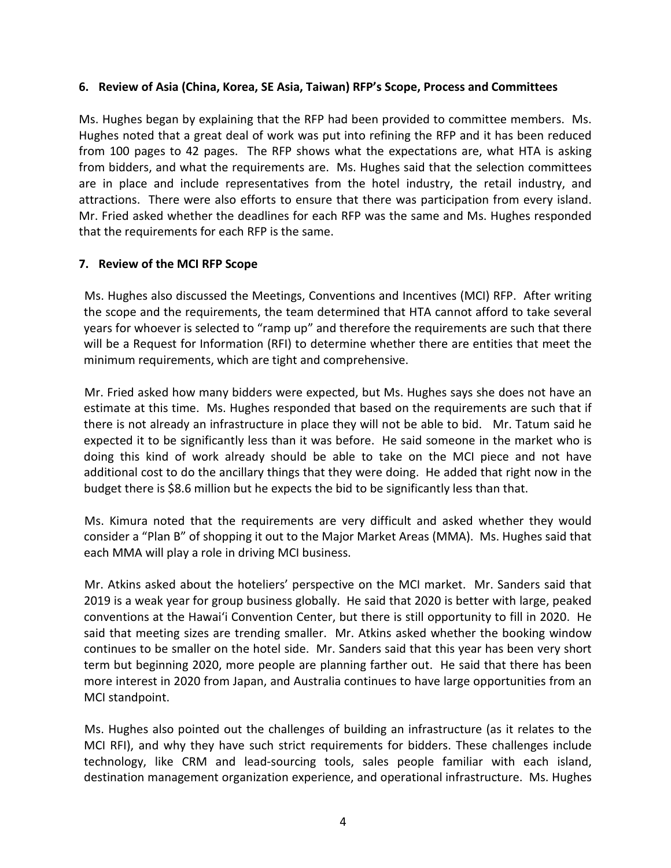### **6. Review of Asia (China, Korea, SE Asia, Taiwan) RFP's Scope, Process and Committees**

Ms. Hughes began by explaining that the RFP had been provided to committee members. Ms. Hughes noted that a great deal of work was put into refining the RFP and it has been reduced from 100 pages to 42 pages. The RFP shows what the expectations are, what HTA is asking from bidders, and what the requirements are. Ms. Hughes said that the selection committees are in place and include representatives from the hotel industry, the retail industry, and attractions. There were also efforts to ensure that there was participation from every island. Mr. Fried asked whether the deadlines for each RFP was the same and Ms. Hughes responded that the requirements for each RFP is the same.

### **7. Review of the MCI RFP Scope**

Ms. Hughes also discussed the Meetings, Conventions and Incentives (MCI) RFP. After writing the scope and the requirements, the team determined that HTA cannot afford to take several years for whoever is selected to "ramp up" and therefore the requirements are such that there will be a Request for Information (RFI) to determine whether there are entities that meet the minimum requirements, which are tight and comprehensive.

Mr. Fried asked how many bidders were expected, but Ms. Hughes says she does not have an estimate at this time. Ms. Hughes responded that based on the requirements are such that if there is not already an infrastructure in place they will not be able to bid. Mr. Tatum said he expected it to be significantly less than it was before. He said someone in the market who is doing this kind of work already should be able to take on the MCI piece and not have additional cost to do the ancillary things that they were doing. He added that right now in the budget there is \$8.6 million but he expects the bid to be significantly less than that.

Ms. Kimura noted that the requirements are very difficult and asked whether they would consider a "Plan B" of shopping it out to the Major Market Areas (MMA). Ms. Hughes said that each MMA will play a role in driving MCI business.

Mr. Atkins asked about the hoteliers' perspective on the MCI market. Mr. Sanders said that 2019 is a weak year for group business globally. He said that 2020 is better with large, peaked conventions at the Hawai'i Convention Center, but there is still opportunity to fill in 2020. He said that meeting sizes are trending smaller. Mr. Atkins asked whether the booking window continues to be smaller on the hotel side. Mr. Sanders said that this year has been very short term but beginning 2020, more people are planning farther out. He said that there has been more interest in 2020 from Japan, and Australia continues to have large opportunities from an MCI standpoint.

Ms. Hughes also pointed out the challenges of building an infrastructure (as it relates to the MCI RFI), and why they have such strict requirements for bidders. These challenges include technology, like CRM and lead-sourcing tools, sales people familiar with each island, destination management organization experience, and operational infrastructure. Ms. Hughes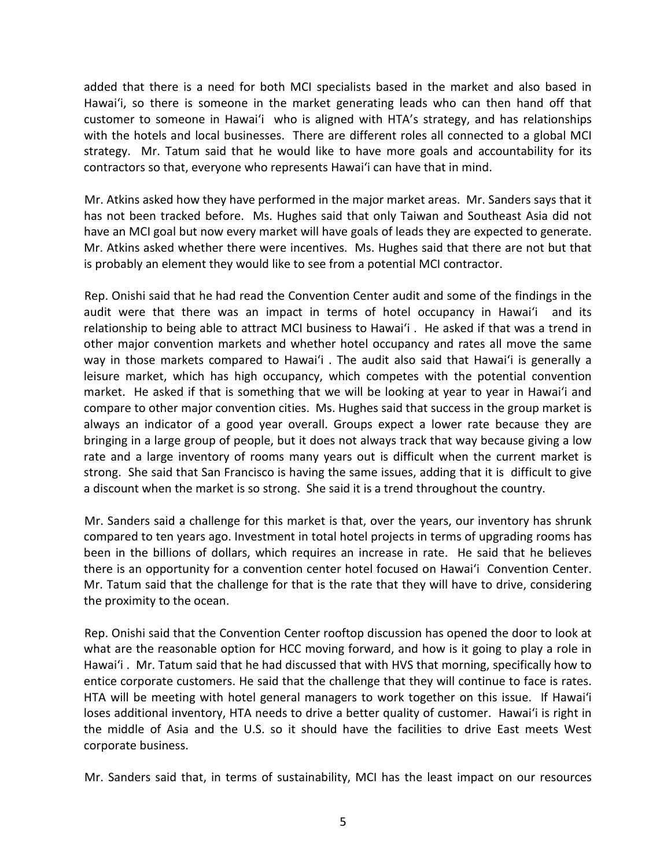added that there is a need for both MCI specialists based in the market and also based in Hawai'i, so there is someone in the market generating leads who can then hand off that customer to someone in Hawai'i who is aligned with HTA's strategy, and has relationships with the hotels and local businesses. There are different roles all connected to a global MCI strategy. Mr. Tatum said that he would like to have more goals and accountability for its contractors so that, everyone who represents Hawai'i can have that in mind.

Mr. Atkins asked how they have performed in the major market areas. Mr. Sanders says that it has not been tracked before. Ms. Hughes said that only Taiwan and Southeast Asia did not have an MCI goal but now every market will have goals of leads they are expected to generate. Mr. Atkins asked whether there were incentives. Ms. Hughes said that there are not but that is probably an element they would like to see from a potential MCI contractor.

Rep. Onishi said that he had read the Convention Center audit and some of the findings in the audit were that there was an impact in terms of hotel occupancy in Hawai'i and its relationship to being able to attract MCI business to Hawai'i . He asked if that was a trend in other major convention markets and whether hotel occupancy and rates all move the same way in those markets compared to Hawai'i . The audit also said that Hawai'i is generally a leisure market, which has high occupancy, which competes with the potential convention market. He asked if that is something that we will be looking at year to year in Hawai'i and compare to other major convention cities. Ms. Hughes said that success in the group market is always an indicator of a good year overall. Groups expect a lower rate because they are bringing in a large group of people, but it does not always track that way because giving a low rate and a large inventory of rooms many years out is difficult when the current market is strong. She said that San Francisco is having the same issues, adding that it is difficult to give a discount when the market is so strong. She said it is a trend throughout the country.

Mr. Sanders said a challenge for this market is that, over the years, our inventory has shrunk compared to ten years ago. Investment in total hotel projects in terms of upgrading rooms has been in the billions of dollars, which requires an increase in rate. He said that he believes there is an opportunity for a convention center hotel focused on Hawai'i Convention Center. Mr. Tatum said that the challenge for that is the rate that they will have to drive, considering the proximity to the ocean.

Rep. Onishi said that the Convention Center rooftop discussion has opened the door to look at what are the reasonable option for HCC moving forward, and how is it going to play a role in Hawai'i . Mr. Tatum said that he had discussed that with HVS that morning, specifically how to entice corporate customers. He said that the challenge that they will continue to face is rates. HTA will be meeting with hotel general managers to work together on this issue. If Hawai'i loses additional inventory, HTA needs to drive a better quality of customer. Hawai'i is right in the middle of Asia and the U.S. so it should have the facilities to drive East meets West corporate business.

Mr. Sanders said that, in terms of sustainability, MCI has the least impact on our resources